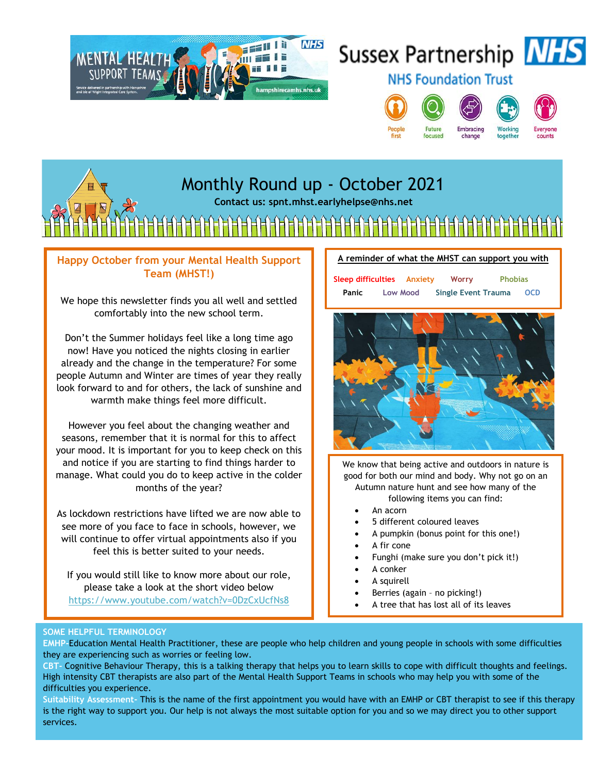

# Sussex Partnership NHS



**NHS Foundation Trust** 





change



together



# Monthly Round up - October 2021

**Contact us: spnt.mhst.earlyhelpse@nhs.net**

╟╌┞╾┞╼┞╼╀╒╉┝╕╂═╂═┞╾┞╼┞╼╂┾╡┾┩╒┨╤┨═╂╾┠╼╂┾┦┾┦┾┦╪┨╪┨╤╂╤┞═

### **Happy October from your Mental Health Support Team (MHST!)**

We hope this newsletter finds you all well and settled comfortably into the new school term.

Don't the Summer holidays feel like a long time ago now! Have you noticed the nights closing in earlier already and the change in the temperature? For some people Autumn and Winter are times of year they really look forward to and for others, the lack of sunshine and warmth make things feel more difficult.

However you feel about the changing weather and seasons, remember that it is normal for this to affect your mood. It is important for you to keep check on this and notice if you are starting to find things harder to manage. What could you do to keep active in the colder months of the year?

As lockdown restrictions have lifted we are now able to see more of you face to face in schools, however, we will continue to offer virtual appointments also if you feel this is better suited to your needs.

If you would still like to know more about our role, please take a look at the short video below <https://www.youtube.com/watch?v=0DzCxUcfNs8>





We know that being active and outdoors in nature is good for both our mind and body. Why not go on an Autumn nature hunt and see how many of the following items you can find:

- An acorn
- 5 different coloured leaves
- A pumpkin (bonus point for this one!)
- A fir cone
- Funghi (make sure you don't pick it!)
	- A conker
- A squirell
- Berries (again no picking!)
- A tree that has lost all of its leaves

#### **SOME HELPFUL TERMINOLOGY**

SOME HELPFUL TERMINOLOGY<br>EMHP-**Education Mental Health Practitioner, these are people who help children and young people in schools with some difficulties** ENTIF-Education mentat rieatur Fractitioner, these and they are experiencing such as worries or feeling low.

**CBT-** Cognitive Behaviour Therapy, this is a talking therapy that helps you to learn skills to cope with difficult thoughts and feelings. High intensity CBT therapists are also part of the Mental Health Support Teams in schools who may help you with some of the difficulties you experience.

**Suitability Assessment-** This is the name of the first appointment you would have with an EMHP or CBT therapist to see if this therapy is the right way to support you. Our help is not always the most suitable option for you and so we may direct you to other support services.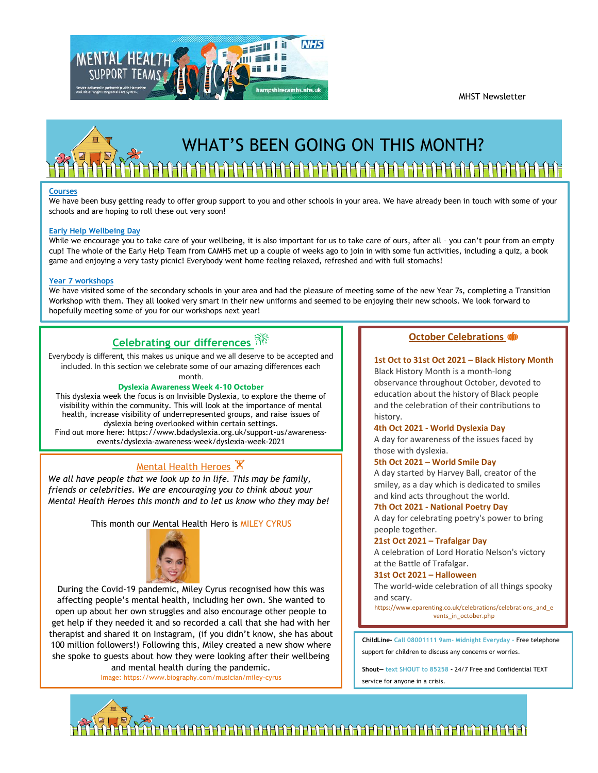MHST Newsletter





#### **Courses**

We have been busy getting ready to offer group support to you and other schools in your area. We have already been in touch with some of your schools and are hoping to roll these out very soon!

#### **Early Help Wellbeing Day**

While we encourage you to take care of your wellbeing, it is also important for us to take care of ours, after all - you can't pour from an empty cup! The whole of the Early Help Team from CAMHS met up a couple of weeks ago to join in with some fun activities, including a quiz, a book game and enjoying a very tasty picnic! Everybody went home feeling relaxed, refreshed and with full stomachs!

#### **Year 7 workshops**

We have visited some of the secondary schools in your area and had the pleasure of meeting some of the new Year 7s, completing a Transition Workshop with them. They all looked very smart in their new uniforms and seemed to be enjoying their new schools. We look forward to hopefully meeting some of you for our workshops next year!

## **Celebrating our differences**

Everybody is different, this makes us unique and we all deserve to be accepted and included. In this section we celebrate some of our amazing differences each month.

### **Dyslexia Awareness Week 4-10 October**

This dyslexia week the focus is on Invisible Dyslexia, to explore the theme of visibility within the community. This will look at the importance of mental health, increase visibility of underrepresented groups, and raise issues of dyslexia being overlooked within certain settings. Find out more here: https://www.bdadyslexia.org.uk/support-us/awareness-

events/dyslexia-awareness-week/dyslexia-week-2021

### **Mental Health Heroes X**

*We all have people that we look up to in life. This may be family, friends or celebrities. We are encouraging you to think about your Mental Health Heroes this month and to let us know who they may be!*

#### This month our Mental Health Hero is MILEY CYRUS



During the Covid-19 pandemic, Miley Cyrus recognised how this was affecting people's mental health, including her own. She wanted to open up about her own struggles and also encourage other people to get help if they needed it and so recorded a call that she had with her therapist and shared it on Instagram, (if you didn't know, she has about 100 million followers!) Following this, Miley created a new show where she spoke to guests about how they were looking after their wellbeing and mental health during the pandemic.

Image: https://www.biography.com/musician/miley-cyrus

#### **October Celebrations**

#### **1st Oct to 31st Oct 2021 – Black History Month**

Black History Month is a month-long observance throughout October, devoted to education about the history of Black people and the celebration of their contributions to history.

#### **4th Oct 2021 - World Dyslexia Day**

A day for awareness of the issues faced by those with dyslexia.

#### **5th Oct 2021 – World Smile Day**

A day started by Harvey Ball, creator of the smiley, as a day which is dedicated to smiles and kind acts throughout the world.

#### **7th Oct 2021 - National Poetry Day**

A day for celebrating poetry's power to bring people together.

#### **21st Oct 2021 – Trafalgar Day**

A celebration of Lord Horatio Nelson's victory at the Battle of Trafalgar.

#### **31st Oct 2021 – Halloween**

The world-wide celebration of all things spooky and scary.

https://www.eparenting.co.uk/celebrations/celebrations\_and\_e vents\_in\_october.php

**ChildLine- Call 08001111 9am- Midnight Everyday -** Free telephone support for children to discuss any concerns or worries.

**Shout— text SHOUT to 85258 -** 24/7 Free and Confidential TEXT service for anyone in a crisis.

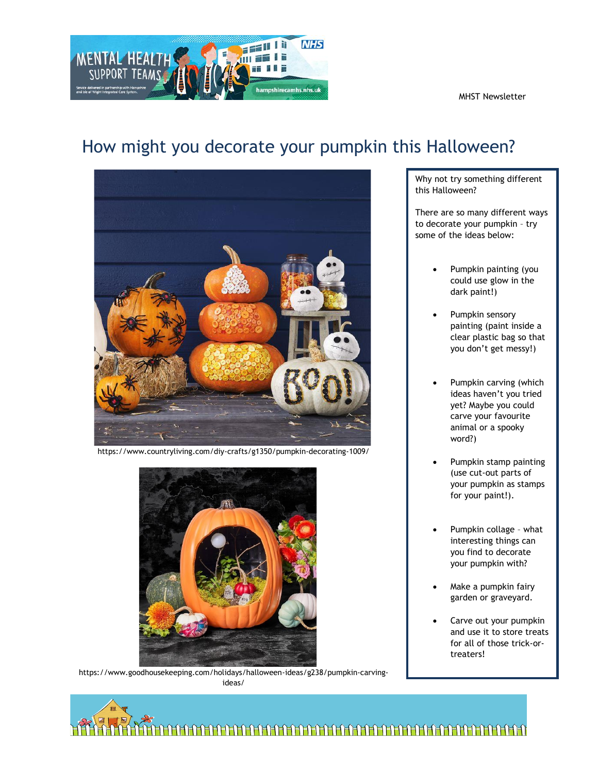MHST Newsletter



# How might you decorate your pumpkin this Halloween?



There are so many different ways to decorate your pumpkin – try some of the ideas below:

- Pumpkin painting (you could use glow in the dark paint!)
- Pumpkin sensory painting (paint inside a clear plastic bag so that you don't get messy!)
- Pumpkin carving (which ideas haven't you tried yet? Maybe you could carve your favourite animal or a spooky word?)
- Pumpkin stamp painting (use cut-out parts of your pumpkin as stamps for your paint!).
- Pumpkin collage what interesting things can you find to decorate your pumpkin with?
- Make a pumpkin fairy garden or graveyard.
- Carve out your pumpkin and use it to store treats for all of those trick-ortreaters!





https://www.countryliving.com/diy-crafts/g1350/pumpkin-decorating-1009/



https://www.goodhousekeeping.com/holidays/halloween-ideas/g238/pumpkin-carvingideas/